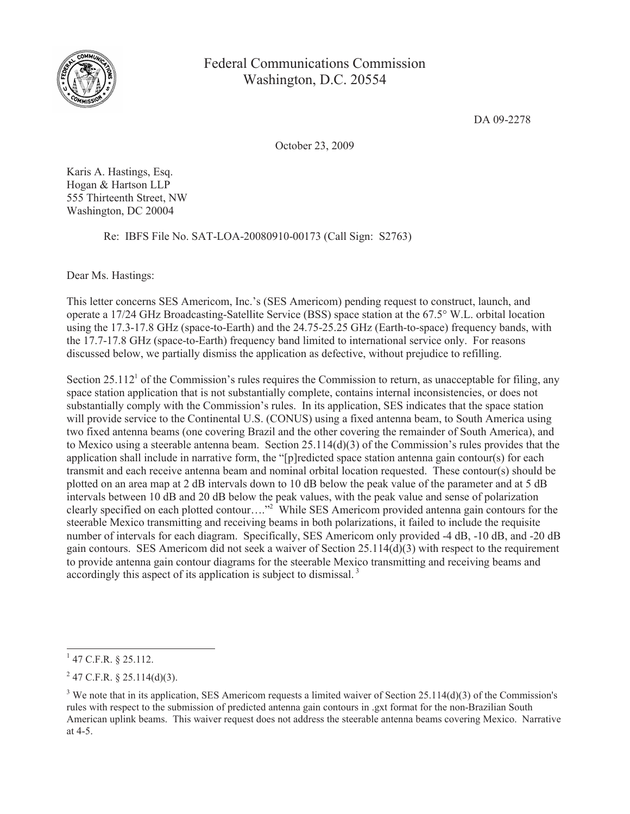

Federal Communications Commission Washington, D.C. 20554

DA 09-2278

October 23, 2009

Karis A. Hastings, Esq. Hogan & Hartson LLP 555 Thirteenth Street, NW Washington, DC 20004

Re: IBFS File No. SAT-LOA-20080910-00173 (Call Sign: S2763)

Dear Ms. Hastings:

This letter concerns SES Americom, Inc.'s (SES Americom) pending request to construct, launch, and operate a 17/24 GHz Broadcasting-Satellite Service (BSS) space station at the 67.5° W.L. orbital location using the 17.3-17.8 GHz (space-to-Earth) and the 24.75-25.25 GHz (Earth-to-space) frequency bands, with the 17.7-17.8 GHz (space-to-Earth) frequency band limited to international service only. For reasons discussed below, we partially dismiss the application as defective, without prejudice to refilling.

Section 25.112<sup>1</sup> of the Commission's rules requires the Commission to return, as unacceptable for filing, any space station application that is not substantially complete, contains internal inconsistencies, or does not substantially comply with the Commission's rules. In its application, SES indicates that the space station will provide service to the Continental U.S. (CONUS) using a fixed antenna beam, to South America using two fixed antenna beams (one covering Brazil and the other covering the remainder of South America), and to Mexico using a steerable antenna beam. Section 25.114(d)(3) of the Commission's rules provides that the application shall include in narrative form, the "[p]redicted space station antenna gain contour(s) for each transmit and each receive antenna beam and nominal orbital location requested. These contour(s) should be plotted on an area map at 2 dB intervals down to 10 dB below the peak value of the parameter and at 5 dB intervals between 10 dB and 20 dB below the peak values, with the peak value and sense of polarization clearly specified on each plotted contour…."<sup>2</sup> While SES Americom provided antenna gain contours for the steerable Mexico transmitting and receiving beams in both polarizations, it failed to include the requisite number of intervals for each diagram. Specifically, SES Americom only provided -4 dB, -10 dB, and -20 dB gain contours. SES Americom did not seek a waiver of Section 25.114(d)(3) with respect to the requirement to provide antenna gain contour diagrams for the steerable Mexico transmitting and receiving beams and accordingly this aspect of its application is subject to dismissal.<sup>3</sup>

 $1$  47 C.F.R. § 25.112.

 $^{2}$  47 C.F.R. § 25.114(d)(3).

 $3$  We note that in its application, SES Americom requests a limited waiver of Section 25.114(d)(3) of the Commission's rules with respect to the submission of predicted antenna gain contours in .gxt format for the non-Brazilian South American uplink beams. This waiver request does not address the steerable antenna beams covering Mexico. Narrative at 4-5.